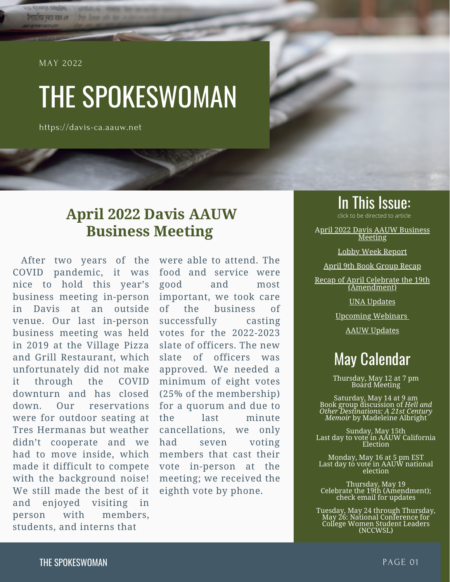MAY 2022

<span id="page-0-0"></span>**GAVA MARINE** উপযোগিতা বৰাতে অন্তত এক

# THE SPOKESWOMAN

https://davis-ca.aauw.net

## **April 2022 Davis AAUW Business Meeting**

After two years of the COVID pandemic, it was nice to hold this year's business meeting in-person in Davis at an outside venue. Our last in-person business meeting was held in 2019 at the Village Pizza and Grill Restaurant, which unfortunately did not make it through the COVID downturn and has closed down. Our reservations were for outdoor seating at Tres Hermanas but weather didn't cooperate and we had to move inside, which made it difficult to compete with the background noise! We still made the best of it and enjoyed visiting in person with members, students, and interns that

were able to attend. The food and service were good and most important, we took care of the business of successfully casting votes for the 2022-2023 slate of officers. The new slate of officers was approved. We needed a minimum of eight votes (25% of the membership) for a quorum and due to the last minute cancellations, we only had seven voting members that cast their vote in-person at the meeting; we received the eighth vote by phone.

## **In This Issue:**<br>click to be directed to article

A[pril 2022 Davis AAUW Business](#page-0-0) Meeting

[Lobby Week Report](#page-1-0)

[April 9th Book Group Recap](#page-3-0)

[Recap of April Celebrate the 19th](#page-5-0) (Amendment)

[UNA Updates](#page-6-0)

[Upcoming Webinars](#page-8-0)

[AAUW Updates](#page-8-0)

## May Calendar

Thursday, May 12 at 7 pm Board Meeting

Saturday, May 14 at 9 am Book group discussion of *Hell and Other Destinations: A 21st Century Memoir* by Madeleine Albright

Sunday, May 15th Last day to vote in AAUW California Election

Monday, May 16 at 5 pm EST Last day to vote in AAUW national election

Thursday, May 19 Celebrate the 19th (Amendment); check email for updates

Tuesday, May 24 through Thursday, May 26: National Conference for College Women Student Leaders (NCCWSL)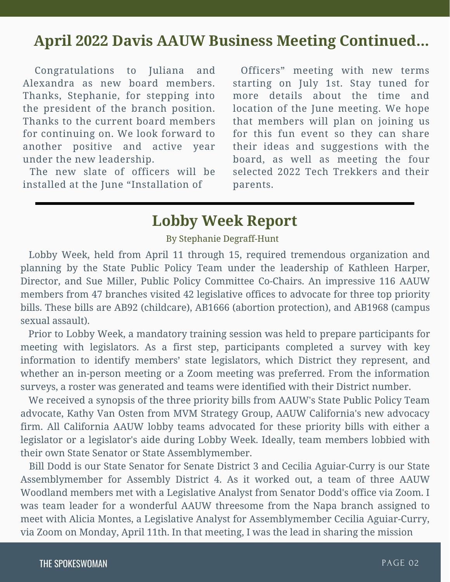## <span id="page-1-0"></span>**April 2022 Davis AAUW Business Meeting Continued...**

Congratulations to Juliana and Alexandra as new board members. Thanks, Stephanie, for stepping into the president of the branch position. Thanks to the current board members for continuing on. We look forward to another positive and active year under the new leadership.

The new slate of officers will be installed at the June "Installation of

Officers" meeting with new terms starting on July 1st. Stay tuned for more details about the time and location of the June meeting. We hope that members will plan on joining us for this fun event so they can share their ideas and suggestions with the board, as well as meeting the four selected 2022 Tech Trekkers and their parents.

### **Lobby Week Report**

#### By Stephanie Degraff-Hunt

 Lobby Week, held from April 11 through 15, required tremendous organization and planning by the State Public Policy Team under the leadership of Kathleen Harper, Director, and Sue Miller, [Public Policy Committee Co-Chairs.](mailto:publicpolicy@aauw-ca.org) An impressive 116 AAUW members from 47 branches visited 42 legislative offices to advocate for three top priority bills. These bills are AB92 (childcare), AB1666 (abortion protection), and AB1968 (campus sexual assault).

 Prior to Lobby Week, a mandatory training session was held to prepare participants for meeting with legislators. As a first step, participants completed a survey with key information to identify members' state legislators, which District they represent, and whether an in-person meeting or a Zoom meeting was preferred. From the information surveys, a roster was generated and teams were identified with their District number.

 We received a synopsis of the three priority bills from AAUW's State Public Policy Team advocate, Kathy Van Osten from MVM Strategy Group, AAUW California's new advocacy firm. All California AAUW lobby teams advocated for these priority bills with either a legislator or a legislator's aide during Lobby Week. Ideally, team members lobbied with their own State Senator or State Assemblymember.

 Bill Dodd is our State Senator for Senate District 3 and Cecilia Aguiar-Curry is our State Assemblymember for Assembly District 4. As it worked out, a team of three AAUW Woodland members met with a Legislative Analyst from Senator Dodd's office via Zoom. I was team leader for a wonderful AAUW threesome from the Napa branch assigned to meet with Alicia Montes, a Legislative Analyst for Assemblymember Cecilia Aguiar-Curry, via Zoom on Monday, April 11th. In that meeting, I was the lead in sharing the mission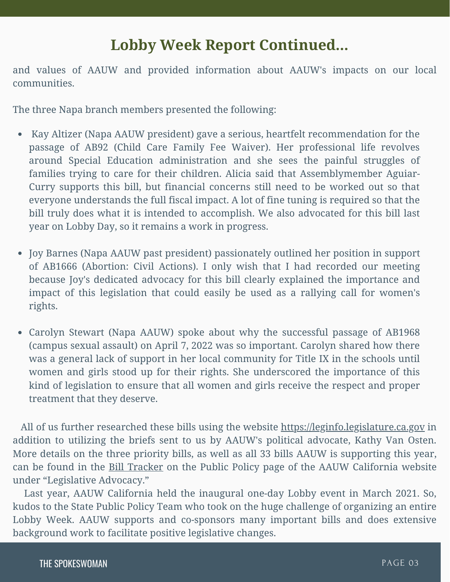## **Lobby Week Report Continued...**

and values of AAUW and provided information about AAUW's impacts on our local communities.

The three Napa branch members presented the following:

- Kay Altizer (Napa AAUW president) gave a serious, heartfelt recommendation for the passage of AB92 (Child Care Family Fee Waiver). Her professional life revolves around Special Education administration and she sees the painful struggles of families trying to care for their children. Alicia said that Assemblymember Aguiar-Curry supports this bill, but financial concerns still need to be worked out so that everyone understands the full fiscal impact. A lot of fine tuning is required so that the bill truly does what it is intended to accomplish. We also advocated for this bill last year on Lobby Day, so it remains a work in progress.
- Joy Barnes (Napa AAUW past president) passionately outlined her position in support of AB1666 (Abortion: Civil Actions). I only wish that I had recorded our meeting because Joy's dedicated advocacy for this bill clearly explained the importance and impact of this legislation that could easily be used as a rallying call for women's rights.
- Carolyn Stewart (Napa AAUW) spoke about why the successful passage of AB1968 (campus sexual assault) on April 7, 2022 was so important. Carolyn shared how there was a general lack of support in her local community for Title IX in the schools until women and girls stood up for their rights. She underscored the importance of this kind of legislation to ensure that all women and girls receive the respect and proper treatment that they deserve.

 All of us further researched these bills using the website [https://leginfo.legislature.ca.gov](https://leginfo.legislature.ca.gov/) in addition to utilizing the briefs sent to us by AAUW's political advocate, Kathy Van Osten. More details on the three priority bills, as well as all 33 bills AAUW is supporting this year, can be found in the [Bill Tracker](https://www.aauw-ca.org/documents/2021/04/bill-tracking.pdf/) on the Public Policy page of the AAUW California website under "Legislative Advocacy."

 Last year, AAUW California held the inaugural one-day Lobby event in March 2021. So, kudos to the State Public Policy Team who took on the huge challenge of organizing an entire Lobby Week. AAUW supports and co-sponsors many important bills and does extensive background work to facilitate positive legislative changes.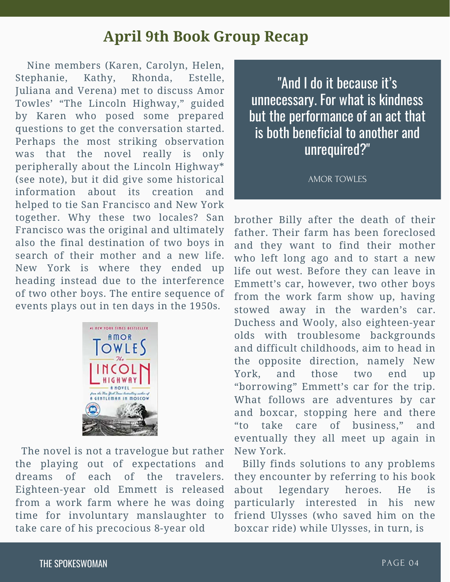## **April 9th Book Group Recap**

<span id="page-3-0"></span> Nine members (Karen, Carolyn, Helen, Stephanie, Kathy, Rhonda, Estelle, Juliana and Verena) met to discuss Amor Towles' "The Lincoln Highway," guided by Karen who posed some prepared questions to get the conversation started. Perhaps the most striking observation was that the novel really is only peripherally about the Lincoln Highway\* (see note), but it did give some historical information about its creation and helped to tie San Francisco and New York together. Why these two locales? San Francisco was the original and ultimately also the final destination of two boys in search of their mother and a new life. New York is where they ended up heading instead due to the interference of two other boys. The entire sequence of events plays out in ten days in the 1950s.



 The novel is not a travelogue but rather the playing out of expectations and dreams of each of the travelers. Eighteen-year old Emmett is released from a work farm where he was doing time for involuntary manslaughter to take care of his precocious 8-year old

"And I do it because it's unnecessary. For what is kindness but the performance of an act that is both beneficial to another and unrequired?"

AMOR TOWLES

brother Billy after the death of their father. Their farm has been foreclosed and they want to find their mother who left long ago and to start a new life out west. Before they can leave in Emmett's car, however, two other boys from the work farm show up, having stowed away in the warden's car. Duchess and Wooly, also eighteen-year olds with troublesome backgrounds and difficult childhoods, aim to head in the opposite direction, namely New York, and those two end up "borrowing" Emmett's car for the trip. What follows are adventures by car and boxcar, stopping here and there "to take care of business," and eventually they all meet up again in New York.

 Billy finds solutions to any problems they encounter by referring to his book about legendary heroes. He is particularly interested in his new friend Ulysses (who saved him on the boxcar ride) while Ulysses, in turn, is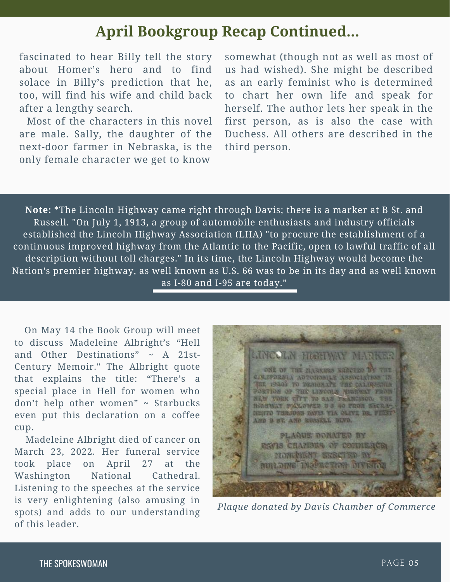## **April Bookgroup Recap Continued...**

fascinated to hear Billy tell the story about Homer's hero and to find solace in Billy's prediction that he, too, will find his wife and child back after a lengthy search.

 Most of the characters in this novel are male. Sally, the daughter of the next-door farmer in Nebraska, is the only female character we get to know

somewhat (though not as well as most of us had wished). She might be described as an early feminist who is determined to chart her own life and speak for herself. The author lets her speak in the first person, as is also the case with Duchess. All others are described in the third person.

**Note:** \*The Lincoln Highway came right through Davis; there is a marker at B St. and Russell. "On July 1, 1913, a group of automobile enthusiasts and industry officials established the Lincoln Highway Association (LHA) "to procure the establishment of a continuous improved highway from the Atlantic to the Pacific, open to lawful traffic of all description without toll charges." In its time, the Lincoln Highway would become the Nation's premier highway, as well known as U.S. 66 was to be in its day and as well known as I-80 and I-95 are today."

 On May 14 the Book Group will meet to discuss Madeleine Albright's "Hell and Other Destinations"  $\sim$  A 21st-Century Memoir." The Albright quote that explains the title: "There's a special place in Hell for women who don't help other women" ~ Starbucks even put this declaration on a coffee cup.

 Madeleine Albright died of cancer on March 23, 2022. Her funeral service took place on April 27 at the Washington National Cathedral. Listening to the speeches at the service is very enlightening (also amusing in spots) and adds to our understanding of this leader.



*Plaque donated by Davis Chamber of Commerce*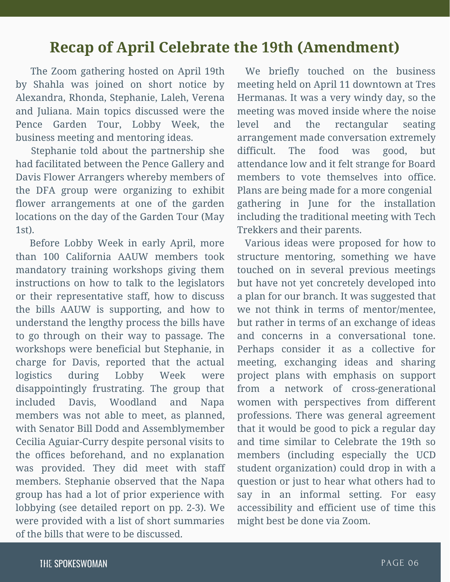## <span id="page-5-0"></span>**Recap of April Celebrate the 19th (Amendment)**

 The Zoom gathering hosted on April 19th by Shahla was joined on short notice by Alexandra, Rhonda, Stephanie, Laleh, Verena and Juliana. Main topics discussed were the Pence Garden Tour, Lobby Week, the business meeting and mentoring ideas.

 Stephanie told about the partnership she had facilitated between the Pence Gallery and Davis Flower Arrangers whereby members of the DFA group were organizing to exhibit flower arrangements at one of the garden locations on the day of the Garden Tour (May 1st).

 Before Lobby Week in early April, more than 100 California AAUW members took mandatory training workshops giving them instructions on how to talk to the legislators or their representative staff, how to discuss the bills AAUW is supporting, and how to understand the lengthy process the bills have to go through on their way to passage. The workshops were beneficial but Stephanie, in charge for Davis, reported that the actual logistics during Lobby Week were disappointingly frustrating. The group that included Davis, Woodland and Napa members was not able to meet, as planned, with Senator Bill Dodd and Assemblymember Cecilia Aguiar-Curry despite personal visits to the offices beforehand, and no explanation was provided. They did meet with staff members. Stephanie observed that the Napa group has had a lot of prior experience with lobbying (see detailed report on pp. 2-3). We were provided with a list of short summaries of the bills that were to be discussed.

We briefly touched on the business meeting held on April 11 downtown at Tres Hermanas. It was a very windy day, so the meeting was moved inside where the noise level and the rectangular seating arrangement made conversation extremely difficult. The food was good, but attendance low and it felt strange for Board members to vote themselves into office. Plans are being made for a more congenial gathering in June for the installation including the traditional meeting with Tech Trekkers and their parents.

 Various ideas were proposed for how to structure mentoring, something we have touched on in several previous meetings but have not yet concretely developed into a plan for our branch. It was suggested that we not think in terms of mentor/mentee, but rather in terms of an exchange of ideas and concerns in a conversational tone. Perhaps consider it as a collective for meeting, exchanging ideas and sharing project plans with emphasis on support from a network of cross-generational women with perspectives from different professions. There was general agreement that it would be good to pick a regular day and time similar to Celebrate the 19th so members (including especially the UCD student organization) could drop in with a question or just to hear what others had to say in an informal setting. For easy accessibility and efficient use of time this might best be done via Zoom.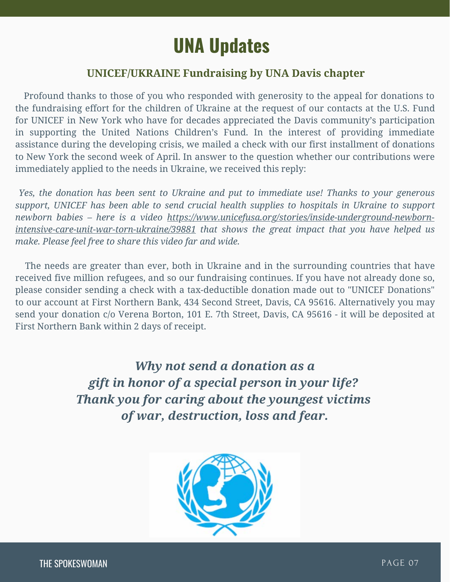## **UNA Updates**

#### **UNICEF/UKRAINE Fundraising by UNA Davis chapter**

<span id="page-6-0"></span> Profound thanks to those of you who responded with generosity to the appeal for donations to the fundraising effort for the children of Ukraine at the request of our contacts at the U.S. Fund for UNICEF in New York who have for decades appreciated the Davis community's participation in supporting the United Nations Children's Fund. In the interest of providing immediate assistance during the developing crisis, we mailed a check with our first installment of donations to New York the second week of April. In answer to the question whether our contributions were immediately applied to the needs in Ukraine, we received this reply:

*Yes, the donation has been sent to Ukraine and put to immediate use! Thanks to your generous support, UNICEF has been able to send crucial health supplies to hospitals in Ukraine to support newborn babies – [here is a video](https://www.unicefusa.org/stories/inside-underground-newborn-intensive-care-unit-war-torn-ukraine/39881) https://www.unicefusa.org/stories/inside-underground-newborn[intensive-care-unit-war-torn-ukraine/39881 that shows the great impact that you have helped us](https://www.unicefusa.org/stories/inside-underground-newborn-intensive-care-unit-war-torn-ukraine/39881) make. Please feel free to share this video far and wide.*

 The needs are greater than ever, both in Ukraine and in the surrounding countries that have received five million refugees, and so our fundraising continues. If you have not already done so, please consider sending a check with a tax-deductible donation made out to "UNICEF Donations" to our account at First Northern Bank, 434 Second Street, Davis, CA 95616. Alternatively you may send your donation c/o Verena Borton, 101 E. 7th Street, Davis, CA 95616 - it will be deposited at First Northern Bank within 2 days of receipt.

> *Why not send a donation as a gift in honor of a special person in your life? Thank you for caring about the youngest victims of war, destruction, loss and fear.*

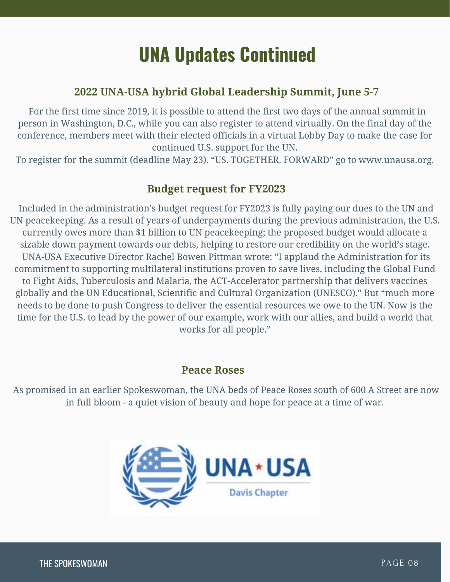## **UNA Updates Continued**

#### **2022 UNA-USA hybrid Global Leadership Summit, June 5-7**

 For the first time since 2019, it is possible to attend the first two days of the annual summit in person in Washington, D.C., while you can also register to attend virtually. On the final day of the conference, members meet with their elected officials in a virtual Lobby Day to make the case for continued U.S. support for the UN.

To register for the summit (deadline May 23). "US. TOGETHER. FORWARD" go to [www.unausa.org](http://www.unausa.org/).

#### **Budget request for FY2023**

Included in the administration's budget request for FY2023 is fully paying our dues to the UN and UN peacekeeping. As a result of years of underpayments during the previous administration, the U.S. currently owes more than \$1 billion to UN peacekeeping; the proposed budget would allocate a sizable down payment towards our debts, helping to restore our credibility on the world's stage. UNA-USA Executive Director Rachel Bowen Pittman wrote: "I applaud the Administration for its commitment to supporting multilateral institutions proven to save lives, including the Global Fund to Fight Aids, Tuberculosis and Malaria, the ACT-Accelerator partnership that delivers vaccines globally and the UN Educational, Scientific and Cultural Organization (UNESCO)." But "much more needs to be done to push Congress to deliver the essential resources we owe to the UN. Now is the time for the U.S. to lead by the power of our example, work with our allies, and build a world that works for all people."

#### **Peace Roses**

As promised in an earlier Spokeswoman, the UNA beds of Peace Roses south of 600 A Street are now in full bloom - a quiet vision of beauty and hope for peace at a time of war.